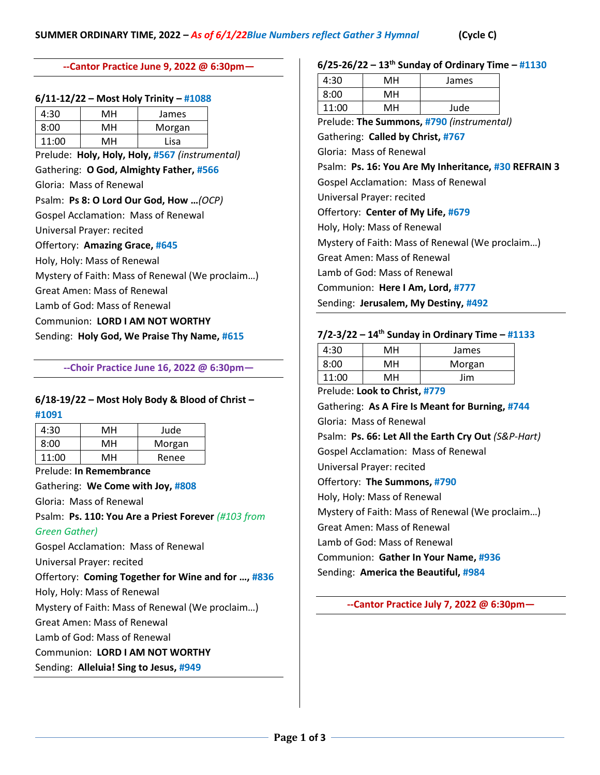#### **--Cantor Practice June 9, 2022 @ 6:30pm—**

#### **6/11-12/22 – Most Holy Trinity – #1088**

| 4:30  | мн | James  |
|-------|----|--------|
| 8:00  | мн | Morgan |
| 11:00 | MН | Lisa   |

Prelude: **Holy, Holy, Holy, #567** *(instrumental)* Gathering: **O God, Almighty Father, #566** Gloria: Mass of Renewal Psalm: **Ps 8: O Lord Our God, How …***(OCP)* Gospel Acclamation: Mass of Renewal Universal Prayer: recited Offertory: **Amazing Grace, #645** Holy, Holy: Mass of Renewal Mystery of Faith: Mass of Renewal (We proclaim…) Great Amen: Mass of Renewal Lamb of God: Mass of Renewal Communion: **LORD I AM NOT WORTHY** Sending: **Holy God, We Praise Thy Name, #615**

#### **--Choir Practice June 16, 2022 @ 6:30pm—**

# **6/18-19/22 – Most Holy Body & Blood of Christ –**

**#1091** 

| 4:30  | MН | Jude   |
|-------|----|--------|
| 8:00  | мн | Morgan |
| 11:00 | MH | Renee  |
|       |    |        |

Prelude: **In Remembrance**

Gathering: **We Come with Joy, #808**

Gloria: Mass of Renewal

Psalm: **Ps. 110: You Are a Priest Forever** *(#103 from* 

# *Green Gather)*

Gospel Acclamation: Mass of Renewal

Universal Prayer: recited

Offertory: **Coming Together for Wine and for …, #836**

Holy, Holy: Mass of Renewal

Mystery of Faith: Mass of Renewal (We proclaim…)

Great Amen: Mass of Renewal

Lamb of God: Mass of Renewal

Communion: **LORD I AM NOT WORTHY**

Sending: **Alleluia! Sing to Jesus, #949**

### **6/25-26/22 – 13 th Sunday of Ordinary Time – #1130**

| 4:30  | MН | James             |
|-------|----|-------------------|
| 8:00  | MН |                   |
| 11:00 | MН | Jude              |
|       |    | $\cdots$ $\cdots$ |

Prelude: **The Summons, #790** *(instrumental)*

Gathering: **Called by Christ, #767** Gloria: Mass of Renewal

### Psalm: **Ps. 16: You Are My Inheritance, #30 REFRAIN 3**

Gospel Acclamation: Mass of Renewal

Universal Prayer: recited

Offertory: **Center of My Life, #679**

Holy, Holy: Mass of Renewal

Mystery of Faith: Mass of Renewal (We proclaim…)

Great Amen: Mass of Renewal

Lamb of God: Mass of Renewal

Communion: **Here I Am, Lord, #777**

Sending: **Jerusalem, My Destiny, #492**

### **7/2-3/22 – 14 th Sunday in Ordinary Time – #1133**

| 4:30  | MН | James  |
|-------|----|--------|
| 8:00  | MН | Morgan |
| 11:00 | MН | Jim    |

Prelude: **Look to Christ, #779**

Gathering: **As A Fire Is Meant for Burning, #744** Gloria: Mass of Renewal Psalm: **Ps. 66: Let All the Earth Cry Out** *(S&P-Hart)* Gospel Acclamation: Mass of Renewal Universal Prayer: recited Offertory: **The Summons, #790** Holy, Holy: Mass of Renewal Mystery of Faith: Mass of Renewal (We proclaim…) Great Amen: Mass of Renewal Lamb of God: Mass of Renewal Communion: **Gather In Your Name, #936** Sending: **America the Beautiful, #984**

**--Cantor Practice July 7, 2022 @ 6:30pm—**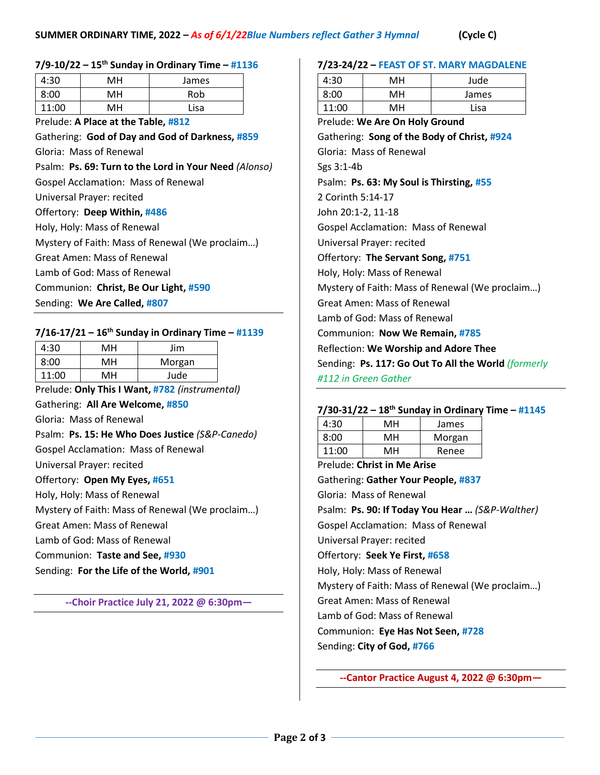### **7/9-10/22 – 15th Sunday in Ordinary Time – #1136**

| 4:30                                | мн | James |
|-------------------------------------|----|-------|
|                                     |    |       |
| 8:00                                | мн | Rob   |
| 11:00                               | мн | Lisa  |
|                                     |    |       |
| Prelude: A Place at the Table. #812 |    |       |

Gathering: **God of Day and God of Darkness, #859** Gloria: Mass of Renewal Psalm: **Ps. 69: Turn to the Lord in Your Need** *(Alonso)* Gospel Acclamation: Mass of Renewal Universal Prayer: recited Offertory: **Deep Within, #486** Holy, Holy: Mass of Renewal

Mystery of Faith: Mass of Renewal (We proclaim…)

Great Amen: Mass of Renewal

Lamb of God: Mass of Renewal

Communion: **Christ, Be Our Light, #590**

Sending: **We Are Called, #807**

### **7/16-17/21 – 16th Sunday in Ordinary Time – #1139**

| 4:30  | MН | Jim    |
|-------|----|--------|
| 8:00  | MН | Morgan |
| 11:00 | мн | Jude   |

Prelude: **Only This I Want, #782** *(instrumental)*

Gathering: **All Are Welcome, #850**

Gloria: Mass of Renewal

Psalm: **Ps. 15: He Who Does Justice** *(S&P-Canedo)* Gospel Acclamation: Mass of Renewal

Universal Prayer: recited

Offertory: **Open My Eyes, #651**

Holy, Holy: Mass of Renewal

Mystery of Faith: Mass of Renewal (We proclaim…)

Great Amen: Mass of Renewal

Lamb of God: Mass of Renewal

Communion: **Taste and See, #930**

Sending: **For the Life of the World, #901**

**--Choir Practice July 21, 2022 @ 6:30pm—**

#### **7/23-24/22 – FEAST OF ST. MARY MAGDALENE**

| 4:30  | MН | Jude  |
|-------|----|-------|
| 8:00  | MН | James |
| 11:00 | MН | Lisa  |

Prelude: **We Are On Holy Ground**  Gathering: **Song of the Body of Christ, #924** Gloria: Mass of Renewal Sgs 3:1-4b Psalm: **Ps. 63: My Soul is Thirsting, #55** 2 Corinth 5:14-17 John 20:1-2, 11-18 Gospel Acclamation: Mass of Renewal Universal Prayer: recited Offertory: **The Servant Song, #751** Holy, Holy: Mass of Renewal Mystery of Faith: Mass of Renewal (We proclaim…) Great Amen: Mass of Renewal Lamb of God: Mass of Renewal Communion: **Now We Remain, #785** Reflection: **We Worship and Adore Thee** Sending: **Ps. 117: Go Out To All the World** *(formerly #112 in Green Gather*

### **7/30-31/22 – 18 th Sunday in Ordinary Time – #1145**

| 4:30  | мн | James  |
|-------|----|--------|
| 8:00  | мн | Morgan |
| 11:00 | мн | Renee  |

Prelude: **Christ in Me Arise** Gathering: **Gather Your People, #837** Gloria: Mass of Renewal Psalm: **Ps. 90: If Today You Hear …** *(S&P-Walther)* Gospel Acclamation: Mass of Renewal Universal Prayer: recited Offertory: **Seek Ye First, #658** Holy, Holy: Mass of Renewal Mystery of Faith: Mass of Renewal (We proclaim…) Great Amen: Mass of Renewal Lamb of God: Mass of Renewal Communion: **Eye Has Not Seen, #728** Sending: **City of God, #766**

**--Cantor Practice August 4, 2022 @ 6:30pm—**